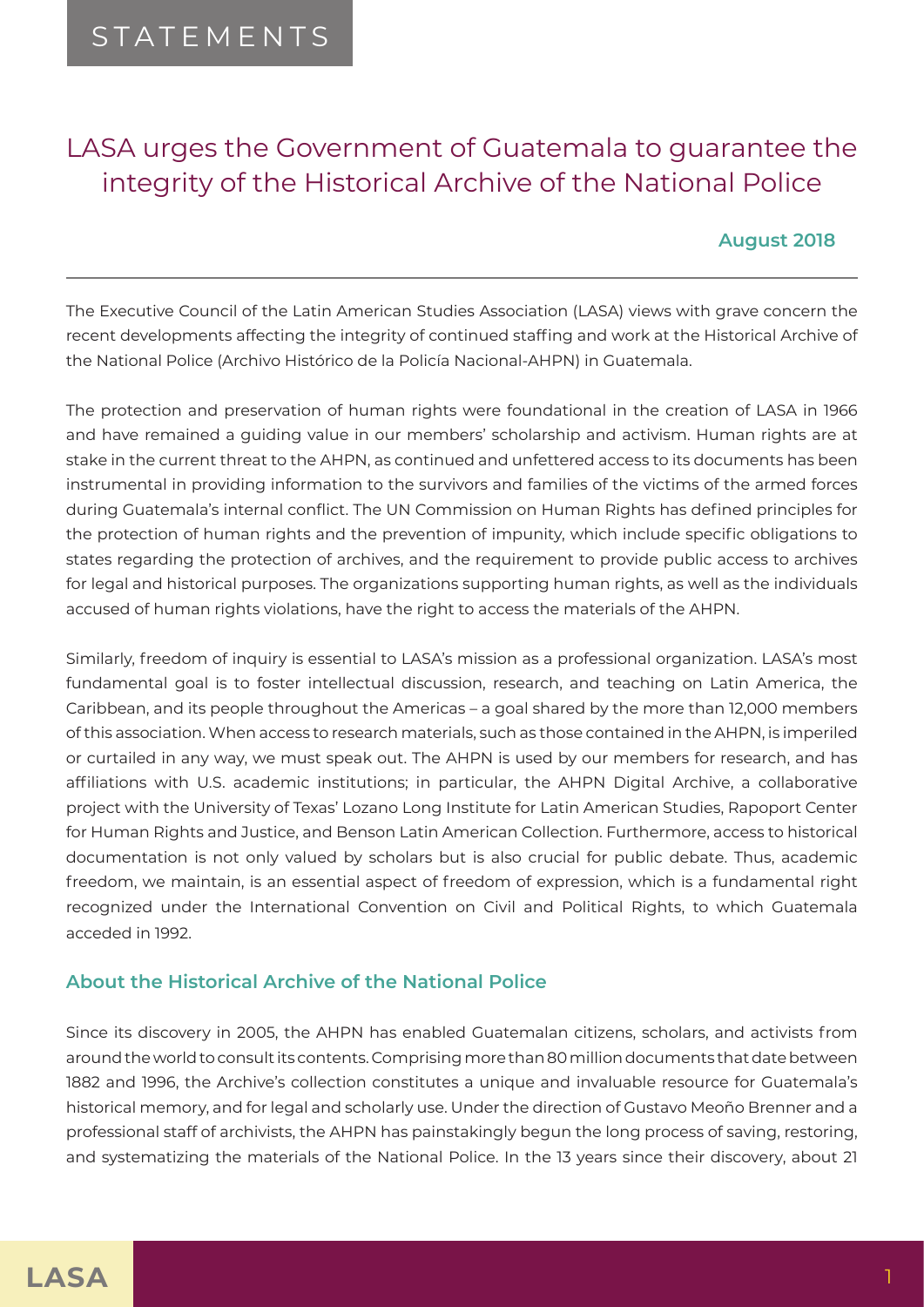# LASA urges the Government of Guatemala to guarantee the integrity of the Historical Archive of the National Police

## **August 2018**

The Executive Council of the Latin American Studies Association (LASA) views with grave concern the recent developments affecting the integrity of continued staffing and work at the Historical Archive of the National Police (Archivo Histórico de la Policía Nacional-AHPN) in Guatemala.

The protection and preservation of human rights were foundational in the creation of LASA in 1966 and have remained a guiding value in our members' scholarship and activism. Human rights are at stake in the current threat to the AHPN, as continued and unfettered access to its documents has been instrumental in providing information to the survivors and families of the victims of the armed forces during Guatemala's internal conflict. The UN Commission on Human Rights has defined principles for the protection of human rights and the prevention of impunity, which include specific obligations to states regarding the protection of archives, and the requirement to provide public access to archives for legal and historical purposes. The organizations supporting human rights, as well as the individuals accused of human rights violations, have the right to access the materials of the AHPN.

Similarly, freedom of inquiry is essential to LASA's mission as a professional organization. LASA's most fundamental goal is to foster intellectual discussion, research, and teaching on Latin America, the Caribbean, and its people throughout the Americas – a goal shared by the more than 12,000 members of this association. When access to research materials, such as those contained in the AHPN, is imperiled or curtailed in any way, we must speak out. The AHPN is used by our members for research, and has affiliations with U.S. academic institutions; in particular, the AHPN Digital Archive, a collaborative project with the University of Texas' Lozano Long Institute for Latin American Studies, Rapoport Center for Human Rights and Justice, and Benson Latin American Collection. Furthermore, access to historical documentation is not only valued by scholars but is also crucial for public debate. Thus, academic freedom, we maintain, is an essential aspect of freedom of expression, which is a fundamental right recognized under the International Convention on Civil and Political Rights, to which Guatemala acceded in 1992.

### **About the Historical Archive of the National Police**

Since its discovery in 2005, the AHPN has enabled Guatemalan citizens, scholars, and activists from around the world to consult its contents. Comprising more than 80 million documents that date between 1882 and 1996, the Archive's collection constitutes a unique and invaluable resource for Guatemala's historical memory, and for legal and scholarly use. Under the direction of Gustavo Meoño Brenner and a professional staff of archivists, the AHPN has painstakingly begun the long process of saving, restoring, and systematizing the materials of the National Police. In the 13 years since their discovery, about 21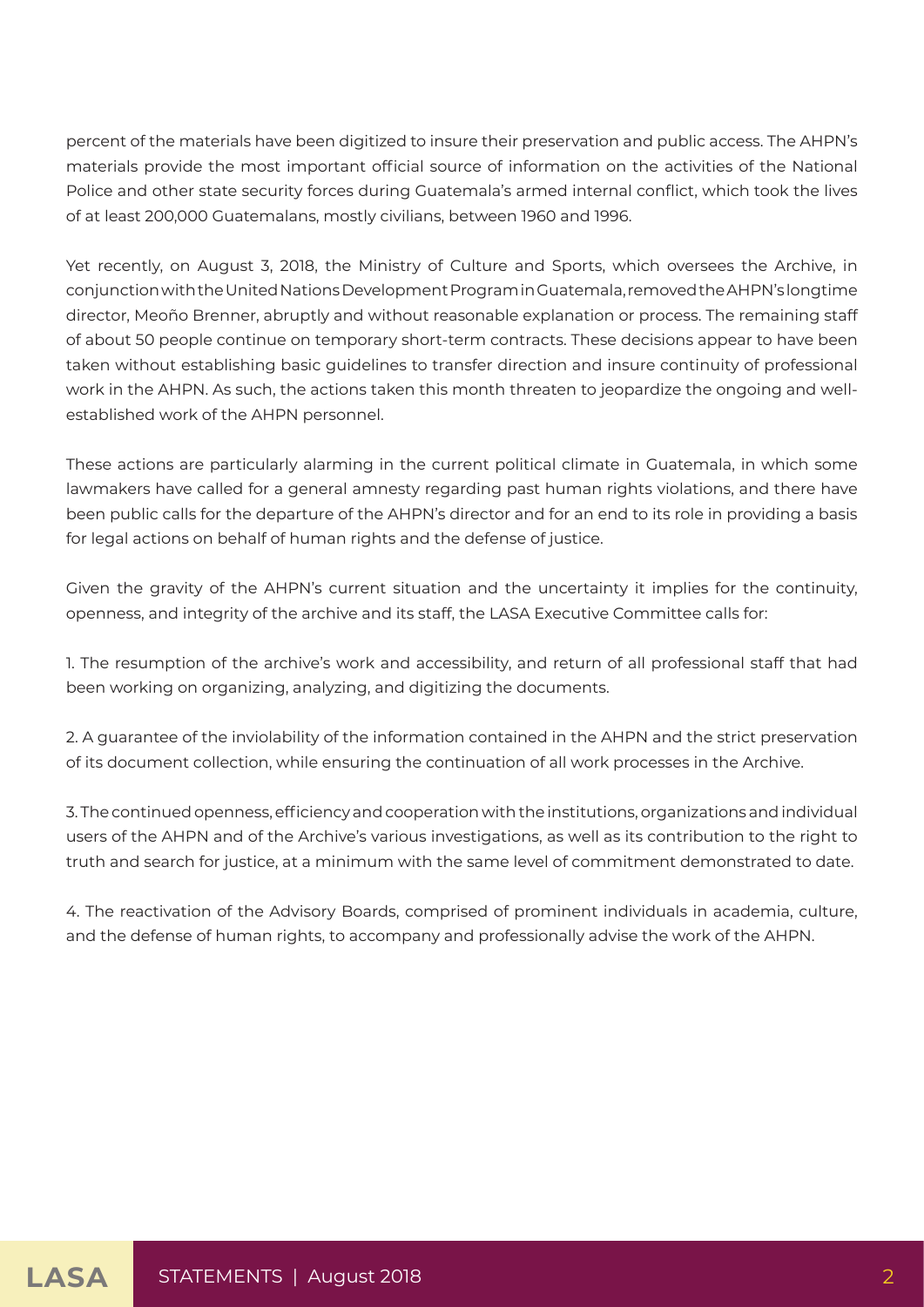percent of the materials have been digitized to insure their preservation and public access. The AHPN's materials provide the most important official source of information on the activities of the National Police and other state security forces during Guatemala's armed internal conflict, which took the lives of at least 200,000 Guatemalans, mostly civilians, between 1960 and 1996.

Yet recently, on August 3, 2018, the Ministry of Culture and Sports, which oversees the Archive, in conjunction with the United Nations Development Program in Guatemala, removed the AHPN's longtime director, Meoño Brenner, abruptly and without reasonable explanation or process. The remaining staff of about 50 people continue on temporary short-term contracts. These decisions appear to have been taken without establishing basic guidelines to transfer direction and insure continuity of professional work in the AHPN. As such, the actions taken this month threaten to jeopardize the ongoing and wellestablished work of the AHPN personnel.

These actions are particularly alarming in the current political climate in Guatemala, in which some lawmakers have called for a general amnesty regarding past human rights violations, and there have been public calls for the departure of the AHPN's director and for an end to its role in providing a basis for legal actions on behalf of human rights and the defense of justice.

Given the gravity of the AHPN's current situation and the uncertainty it implies for the continuity, openness, and integrity of the archive and its staff, the LASA Executive Committee calls for:

1. The resumption of the archive's work and accessibility, and return of all professional staff that had been working on organizing, analyzing, and digitizing the documents.

2. A guarantee of the inviolability of the information contained in the AHPN and the strict preservation of its document collection, while ensuring the continuation of all work processes in the Archive.

3. The continued openness, efficiency and cooperation with the institutions, organizations and individual users of the AHPN and of the Archive's various investigations, as well as its contribution to the right to truth and search for justice, at a minimum with the same level of commitment demonstrated to date.

4. The reactivation of the Advisory Boards, comprised of prominent individuals in academia, culture, and the defense of human rights, to accompany and professionally advise the work of the AHPN.